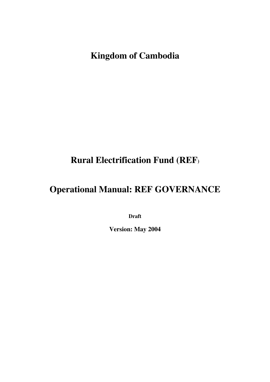**Kingdom of Cambodia** 

# **Rural Electrification Fund (REF)**

# **Operational Manual: REF GOVERNANCE**

**Draft** 

**Version: May 2004**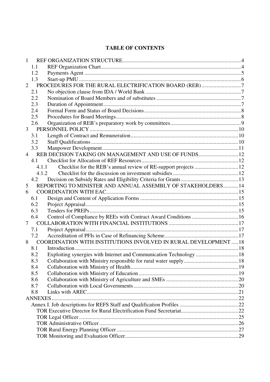### **TABLE OF CONTENTS**

| $\mathbf{1}$   |       |                                                                     |  |  |
|----------------|-------|---------------------------------------------------------------------|--|--|
|                | 1.1   |                                                                     |  |  |
|                | 1.2   |                                                                     |  |  |
|                | 1.3   |                                                                     |  |  |
| $\overline{2}$ |       | PROCEDURES FOR THE RURAL ELECTRIFICATION BOARD (REB)7               |  |  |
|                | 2.1   |                                                                     |  |  |
|                | 2.2   |                                                                     |  |  |
|                | 2.3   |                                                                     |  |  |
|                | 2.4   |                                                                     |  |  |
|                | 2.5   |                                                                     |  |  |
|                | 2.6   |                                                                     |  |  |
| $\mathfrak{Z}$ |       |                                                                     |  |  |
|                | 3.1   |                                                                     |  |  |
|                | 3.2   |                                                                     |  |  |
|                | 3.3   |                                                                     |  |  |
| $\overline{4}$ |       | REB DECISION TAKING ON MANAGEMENT AND USE OF FUNDS 12               |  |  |
|                | 4.1   |                                                                     |  |  |
|                | 4.1.1 |                                                                     |  |  |
|                | 4.1.2 |                                                                     |  |  |
|                | 4.2   |                                                                     |  |  |
| 5              |       | REPORTING TO MINISTER AND ANNUAL ASSEMBLY OF STAKEHOLDERS 14        |  |  |
| 6              |       |                                                                     |  |  |
|                | 6.1   |                                                                     |  |  |
|                | 6.2   |                                                                     |  |  |
|                | 6.3   |                                                                     |  |  |
|                | 6.4   | Control of Compliance by REEs with Contract Award Conditions  16    |  |  |
| $\tau$         |       |                                                                     |  |  |
|                | 7.1   |                                                                     |  |  |
|                | 7.2   |                                                                     |  |  |
| 8              |       | COORDINATION WITH INSTITUTIONS INVOLVED IN RURAL DEVELOPMENT  18    |  |  |
|                | 8.1   |                                                                     |  |  |
|                | 8.2   | Exploiting synergies with Internet and Communication Technology  18 |  |  |
|                | 8.3   |                                                                     |  |  |
|                | 8.4   |                                                                     |  |  |
|                | 8.5   |                                                                     |  |  |
|                | 8.6   |                                                                     |  |  |
|                | 8.7   |                                                                     |  |  |
|                | 8.8   |                                                                     |  |  |
|                |       |                                                                     |  |  |
|                |       |                                                                     |  |  |
|                |       |                                                                     |  |  |
|                |       |                                                                     |  |  |
|                |       |                                                                     |  |  |
|                |       |                                                                     |  |  |
|                |       |                                                                     |  |  |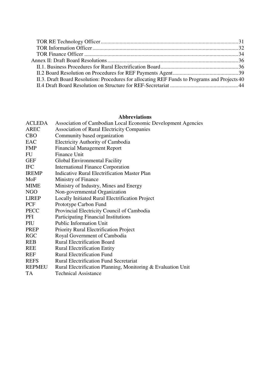| II.3. Draft Board Resolution: Procedures for allocating REF Funds to Programs and Projects 40 |  |
|-----------------------------------------------------------------------------------------------|--|
|                                                                                               |  |

#### **Abbreviations**

| <b>ACLEDA</b> | Association of Cambodian Local Economic Development Agencies |
|---------------|--------------------------------------------------------------|
| <b>AREC</b>   | <b>Association of Rural Electricity Companies</b>            |
| <b>CBO</b>    | Community based organization                                 |
| EAC           | <b>Electricity Authority of Cambodia</b>                     |
| <b>FMP</b>    | <b>Financial Management Report</b>                           |
| FU            | Finance Unit                                                 |
| <b>GEF</b>    | Global Environmental Facility                                |
| <b>IFC</b>    | <b>International Finance Corporation</b>                     |
| <b>IREMP</b>  | <b>Indicative Rural Electrification Master Plan</b>          |
| MoF           | Ministry of Finance                                          |
| <b>MIME</b>   | Ministry of Industry, Mines and Energy                       |
| <b>NGO</b>    | Non-governmental Organization                                |
| <b>LIREP</b>  | Locally Initiated Rural Electrification Project              |
| <b>PCF</b>    | Prototype Carbon Fund                                        |
| PECC          | Provincial Electricity Council of Cambodia                   |
| PFI           | <b>Participating Financial Institutions</b>                  |
| PIU           | <b>Public Information Unit</b>                               |
| <b>PREP</b>   | Priority Rural Electrification Project                       |
| <b>RGC</b>    | Royal Government of Cambodia                                 |
| <b>REB</b>    | <b>Rural Electrification Board</b>                           |
| <b>REE</b>    | <b>Rural Electrification Entity</b>                          |
| <b>REF</b>    | <b>Rural Electrification Fund</b>                            |
| <b>REFS</b>   | <b>Rural Electrification Fund Secretariat</b>                |
| <b>REPMEU</b> | Rural Electrification Planning, Monitoring & Evaluation Unit |
| <b>TA</b>     | <b>Technical Assistance</b>                                  |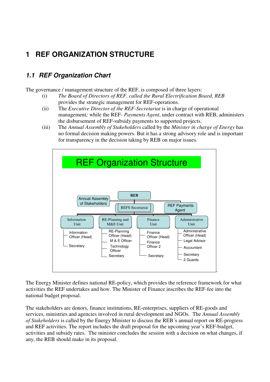# **1 REF ORGANIZATION STRUCTURE**

# **1.1 REF Organization Chart**

The governance / management structure of the REF, is composed of three layers:

- (i) *The Board of Directors of REF, called the Rural Electrification Board, REB* provides the strategic management for REF-operations*.*
- (ii) The *Executive Director of the REF-Secretariat* is in charge of operational management*;* while the REF- *Payments Agent*, under contract with REB, administers the disbursement of REF-subsidy payments to supported projects.
- (iii) The *Annual Assembly of Stakeholders* called by the *Minister in charge of Energy* has no formal decision making powers. But it has a strong advisory role and is important for transparency in the decision taking by REB on major issues*.*



The Energy Minister defines national RE-policy, which provides the reference framework for what activities the REF undertakes and how. The Minister of Finance inscribes the REF-fee into the national budget proposal.

The stakeholders are donors, finance institutions, RE-enterprises, suppliers of RE-goods and services, ministries and agencies involved in rural development and NGOs. The *Annual Assembly of Stakeholders* is called by the Energy Minister to discuss the REB´s annual report on RE-progress and REF activities. The report includes the draft proposal for the upcoming year's REF-budget, activities and subsidy rates. The minister concludes the session with a decision on what changes, if any, the REB should make in its proposal.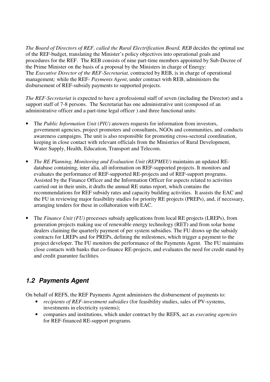*The Board of Directors of REF, called the Rural Electrification Board, REB* decides the optimal use of the REF-budget, translating the Minister's policy objectives into operational goals and procedures for the REF. The REB consists of nine part-time members appointed by Sub-Decree of the Prime Minister on the basis of a proposal by the Ministers in charge of Energy: The *Executive Director of the REF-Secretariat,* contracted by REB, is in charge of operational management*;* while the REF- *Payments Agent*, under contract with REB, administers the disbursement of REF-subsidy payments to supported projects.

*The REF-Secretariat* is expected to have a professional staff of seven (including the Director) and a support staff of 7-8 persons. The Secretariat has one administrative unit (composed of an administrative officer and a part-time legal officer ) and three functional units:

- The *Public Information Unit (PIU)* answers requests for information from investors, government agencies, project promoters and consultants, NGOs and communities, and conducts awareness campaigns. The unit is also responsible for promoting cross-sectoral coordination, keeping in close contact with relevant officials from the Ministries of Rural Development, Water Supply, Health, Education, Transport and Telecom.
- *The RE Planning, Monitoring and Evaluation Unit (REPMEU)* maintains an updated REdatabase containing, inter alia, all information on REF-supported projects. It monitors and evaluates the performance of REF-supported RE-projects and of REF-support programs. Assisted by the Finance Officer and the Information Officer for aspects related to activities carried out in their units, it drafts the annual RE status report, which contains the recommendations for REF subsidy rates and capacity building activities. It assists the EAC and the FU in reviewing major feasibility studies for priority RE projects (PREPs), and, if necessary, arranging tenders for these in collaboration with EAC.
- The *Finance Unit (FU)* processes subsidy applications from local RE projects (LREPs), from generation projects making use of renewable energy technology (RET) and from solar home dealers claiming the quarterly payment of per system subsidies. The FU draws up the subsidy contracts for LREPs and for PREPs, defining the milestones, which trigger a payment to the project developer. The FU monitors the performance of the Payments Agent. The FU maintains close contacts with banks that co-finance RE-projects, and evaluates the need for credit stand-by and credit guarantee facilities*.*

# **1.2 Payments Agent**

On behalf of REFS, the REF Payments Agent administers the disbursement of payments to:

- *recipients of REF-investment subsidies* (for feasibility studies, sales of PV-systems, investments in electricity systems);
- companies and institutions, which under contract by the REFS, act as *executing agencies* for REF-financed RE-support programs.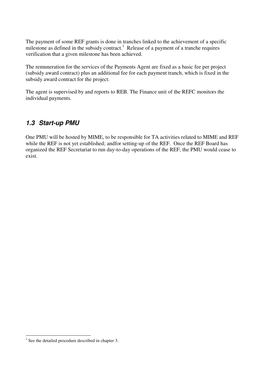The payment of some REF grants is done in tranches linked to the achievement of a specific milestone as defined in the subsidy contract.<sup>1</sup> Release of a payment of a tranche requires verification that a given milestone has been achieved.

The remuneration for the services of the Payments Agent are fixed as a basic fee per project (subsidy award contract) plus an additional fee for each payment tranch, which is fixed in the subsidy award contract for the project.

The agent is supervised by and reports to REB. The Finance unit of the REFC monitors the individual payments.

### **1.3 Start-up PMU**

One PMU will be hosted by MIME, to be responsible for TA activities related to MIME and REF while the REF is not yet established; and for setting-up of the REF. Once the REF Board has organized the REF Secretariat to run day-to-day operations of the REF, the PMU would cease to exist.

 $\overline{a}$ 

<sup>&</sup>lt;sup>1</sup> See the detailed procedure described in chapter 3.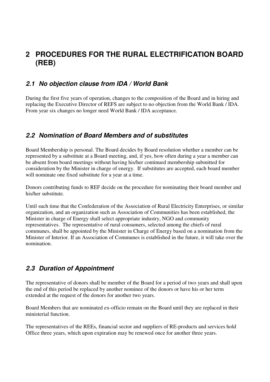# **2 PROCEDURES FOR THE RURAL ELECTRIFICATION BOARD (REB)**

### **2.1 No objection clause from IDA / World Bank**

During the first five years of operation, changes to the composition of the Board and in hiring and replacing the Executive Director of REFS are subject to no objection from the World Bank / IDA. From year six changes no longer need World Bank / IDA acceptance.

### **2.2 Nomination of Board Members and of substitutes**

Board Membership is personal. The Board decides by Board resolution whether a member can be represented by a substitute at a Board meeting, and, if yes, how often during a year a member can be absent from board meetings without having his/her continued membership submitted for consideration by the Minister in charge of energy. If substitutes are accepted, each board member will nominate one fixed substitute for a year at a time.

Donors contributing funds to REF decide on the procedure for nominating their board member and his/her substitute.

Until such time that the Confederation of the Association of Rural Electricity Enterprises, or similar organization, and an organization such as Association of Communities has been established, the Minister in charge of Energy shall select appropriate industry, NGO and community representatives. The representative of rural consumers, selected among the chiefs of rural communes, shall be appointed by the Minister in Charge of Energy based on a nomination from the Minister of Interior. If an Association of Communes is established in the future, it will take over the nomination.

### **2.3 Duration of Appointment**

The representative of donors shall be member of the Board for a period of two years and shall upon the end of this period be replaced by another nominee of the donors or have his or her term extended at the request of the donors for another two years.

Board Members that are nominated ex-officio remain on the Board until they are replaced in their ministerial function.

The representatives of the REEs, financial sector and suppliers of RE-products and services hold Office three years, which upon expiration may be renewed once for another three years.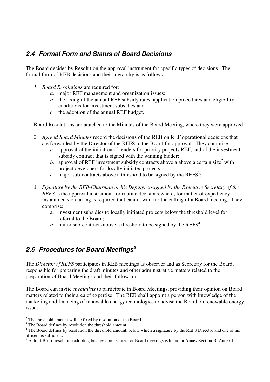# **2.4 Formal Form and Status of Board Decisions**

The Board decides by Resolution the approval instrument for specific types of decisions. The formal form of REB decisions and their hierarchy is as follows:

- *1. Board Resolutions* are required for:
	- *a.* major REF management and organization issues;
	- *b.* the fixing of the annual REF subsidy rates, application procedures and eligibility conditions for investment subsidies and
	- *c.* the adoption of the annual REF budget.

Board Resolutions are attached to the Minutes of the Board Meeting, where they were approved.

- *2. Agreed Board Minutes* record the decisions of the REB on REF operational decisions that are forwarded by the Director of the REFS to the Board for approval. They comprise:
	- *a.* approval of the initiation of tenders for priority projects REF, and of the investment subsidy contract that is signed with the winning bidder;
	- b. approval of REF investment subsidy contracts above a above a certain size<sup>2</sup> with project developers for locally initiated projects;.
	- $c.$  major sub-contracts above a threshold to be signed by the REFS<sup>3</sup>;
- *3. Signature by the REB-Chairman or his Deputy, cosigned by the Executive Secretary of the REFS* is the approval instrument for routine decisions where, for matter of expediency, instant decision taking is required that cannot wait for the calling of a Board meeting. They comprise:
	- a. investment subsidies to locally initiated projects below the threshold level for referral to the Board;
	- b. minor sub-contracts above a threshold to be signed by the  $REFS<sup>4</sup>$ .

## **2.5 Procedures for Board Meetings<sup>5</sup>**

The *Director of REFS* participates in REB meetings as observer and as Secretary for the Board, responsible for preparing the draft minutes and other administrative matters related to the preparation of Board Meetings and their follow-up.

The Board can invite *specialists* to participate in Board Meetings, providing their opinion on Board matters related to their area of expertise. The REB shall appoint a person with knowledge of the marketing and financing of renewable energy technologies to advise the Board on renewable energy issues.

 $\overline{a}$  $2^2$  The threshold amount will be fixed by resolution of the Board.

<sup>&</sup>lt;sup>3</sup> The Board defines by resolution the threshold amount.

<sup>&</sup>lt;sup>4</sup> The Board defines by resolution the threshold amount, below which a signature by the REFS Director and one of his officers is sufficient.

<sup>&</sup>lt;sup>5</sup> A draft Board resolution adopting business procedures for Board meetings is found in Annex Section B: Annex I.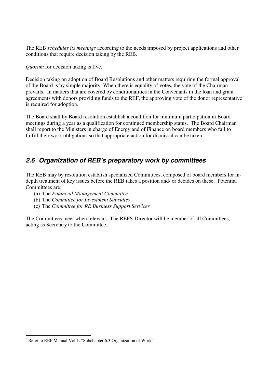The REB *schedules its meetings* according to the needs imposed by project applications and other conditions that require decision taking by the REB.

*Quorum* for decision taking is five.

Decision taking on adoption of Board Resolutions and other matters requiring the formal approval of the Board is by simple majority. When there is equality of votes, the vote of the Chairman prevails. In matters that are covered by conditionalities in the Convenants in the loan and grant agreements with donors providing funds to the REF, the approving vote of the donor representative is required for adoption.

The Board shall by Board resolution establish a condition for minimum participation in Board meetings during a year as a qualification for continued membership status. The Board Chairman shall report to the Ministers in charge of Energy and of Finance on board members who fail to fulfill their work obligations so that appropriate action for dismissal can be taken.

### **2.6 Organization of REB's preparatory work by committees**

The REB may by resolution establish specialized Committees, composed of board members for indepth treatment of key issues before the REB takes a position and/ or decides on these. Potential Committees are:<sup>6</sup>

- (a) The *Financial Management Committee*
- (b) The *Committee for Investment Subsidies*
- (c) The *Committee for RE Business Support Services*

The Committees meet when relevant. The REFS-Director will be member of all Committees, acting as Secretary to the Committee.

 6 Refer to REF Manual Vol 1. "Subchapter 6.3 Organization of Work"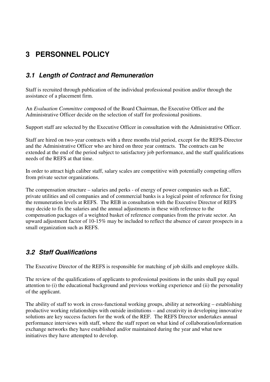# **3 PERSONNEL POLICY**

# **3.1 Length of Contract and Remuneration**

Staff is recruited through publication of the individual professional position and/or through the assistance of a placement firm.

An *Evaluation Committee* composed of the Board Chairman, the Executive Officer and the Administrative Officer decide on the selection of staff for professional positions.

Support staff are selected by the Executive Officer in consultation with the Administrative Officer.

Staff are hired on two-year contracts with a three months trial period, except for the REFS-Director and the Administrative Officer who are hired on three year contracts. The contracts can be extended at the end of the period subject to satisfactory job performance, and the staff qualifications needs of the REFS at that time.

In order to attract high caliber staff, salary scales are competitive with potentially competing offers from private sector organizations.

The compensation structure – salaries and perks - of energy of power companies such as EdC, private utilities and oil companies and of commercial banks is a logical point of reference for fixing the remuneration levels at REFS. The REB in consultation with the Executive Director of REFS may decide to fix the salaries and the annual adjustments in these with reference to the compensation packages of a weighted basket of reference companies from the private sector. An upward adjustment factor of 10-15% may be included to reflect the absence of career prospects in a small organization such as REFS.

## **3.2 Staff Qualifications**

The Executive Director of the REFS is responsible for matching of job skills and employee skills.

The review of the qualifications of applicants to professional positions in the units shall pay equal attention to (i) the educational background and previous working experience and (ii) the personality of the applicant.

The ability of staff to work in cross-functional working groups, ability at networking – establishing productive working relationships with outside institutions – and creativity in developing innovative solutions are key success factors for the work of the REF. The REFS Director undertakes annual performance interviews with staff, where the staff report on what kind of collaboration/information exchange networks they have established and/or maintained during the year and what new initiatives they have attempted to develop.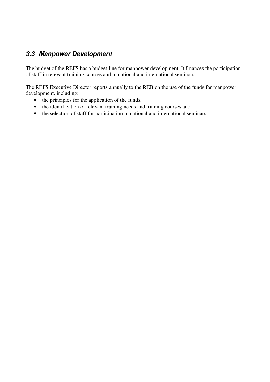# **3.3 Manpower Development**

The budget of the REFS has a budget line for manpower development. It finances the participation of staff in relevant training courses and in national and international seminars.

The REFS Executive Director reports annually to the REB on the use of the funds for manpower development, including:

- the principles for the application of the funds,
- the identification of relevant training needs and training courses and
- the selection of staff for participation in national and international seminars.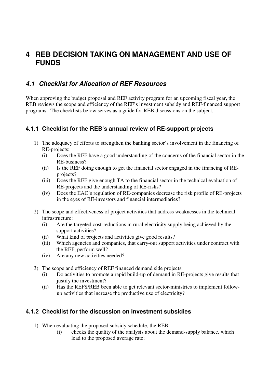# **4 REB DECISION TAKING ON MANAGEMENT AND USE OF FUNDS**

### **4.1 Checklist for Allocation of REF Resources**

When approving the budget proposal and REF activity program for an upcoming fiscal year, the REB reviews the scope and efficiency of the REF's investment subsidy and REF-financed support programs. The checklists below serves as a guide for REB discussions on the subject.

### **4.1.1 Checklist for the REB's annual review of RE-support projects**

- 1) The adequacy of efforts to strengthen the banking sector's involvement in the financing of RE-projects:
	- (i) Does the REF have a good understanding of the concerns of the financial sector in the RE-business?
	- (ii) Is the REF doing enough to get the financial sector engaged in the financing of REprojects?
	- (iii) Does the REF give enough TA to the financial sector in the technical evaluation of RE-projects and the understanding of RE-risks?
	- (iv) Does the EAC's regulation of RE-companies decrease the risk profile of RE-projects in the eyes of RE-investors and financial intermediaries?
- 2) The scope and effectiveness of project activities that address weaknesses in the technical infrastructure:
	- (i) Are the targeted cost-reductions in rural electricity supply being achieved by the support activities?
	- (ii) What kind of projects and activities give good results?
	- (iii) Which agencies and companies, that carry-out support activities under contract with the REF, perform well?
	- (iv) Are any new activities needed?
- 3) The scope and efficiency of REF financed demand side projects:
	- (i) Do activities to promote a rapid build-up of demand in RE-projects give results that justify the investment?
	- (ii) Has the REFS/REB been able to get relevant sector-ministries to implement followup activities that increase the productive use of electricity?

#### **4.1.2 Checklist for the discussion on investment subsidies**

- 1) When evaluating the proposed subsidy schedule, the REB:
	- (i) checks the quality of the analysis about the demand-supply balance, which lead to the proposed average rate;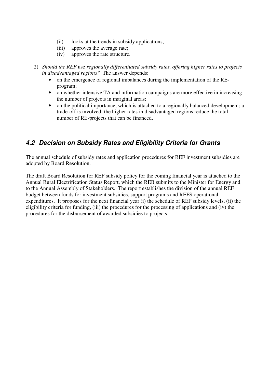- (ii) looks at the trends in subsidy applications,
- (iii) approves the average rate;
- (iv) approves the rate structure.
- 2) *Should the REF* use *regionally differentiated subsidy rates, offering higher rates to projects in disadvantaged regions?* The answer depends:
	- on the emergence of regional imbalances during the implementation of the REprogram;
	- on whether intensive TA and information campaigns are more effective in increasing the number of projects in marginal areas;
	- on the political importance, which is attached to a regionally balanced development; a trade-off is involved: the higher rates in disadvantaged regions reduce the total number of RE-projects that can be financed.

## **4.2 Decision on Subsidy Rates and Eligibility Criteria for Grants**

The annual schedule of subsidy rates and application procedures for REF investment subsidies are adopted by Board Resolution.

The draft Board Resolution for REF subsidy policy for the coming financial year is attached to the Annual Rural Electrification Status Report, which the REB submits to the Minister for Energy and to the Annual Assembly of Stakeholders. The report establishes the division of the annual REF budget between funds for investment subsidies, support programs and REFS operational expenditures. It proposes for the next financial year (i) the schedule of REF subsidy levels, (ii) the eligibility criteria for funding, (iii) the procedures for the processing of applications and (iv) the procedures for the disbursement of awarded subsidies to projects.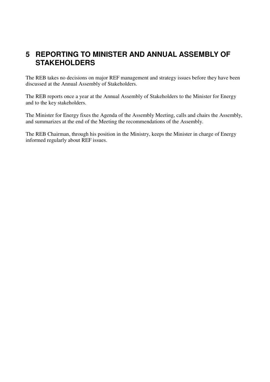# **5 REPORTING TO MINISTER AND ANNUAL ASSEMBLY OF STAKEHOLDERS**

The REB takes no decisions on major REF management and strategy issues before they have been discussed at the Annual Assembly of Stakeholders.

The REB reports once a year at the Annual Assembly of Stakeholders to the Minister for Energy and to the key stakeholders.

The Minister for Energy fixes the Agenda of the Assembly Meeting, calls and chairs the Assembly, and summarizes at the end of the Meeting the recommendations of the Assembly.

The REB Chairman, through his position in the Ministry, keeps the Minister in charge of Energy informed regularly about REF issues.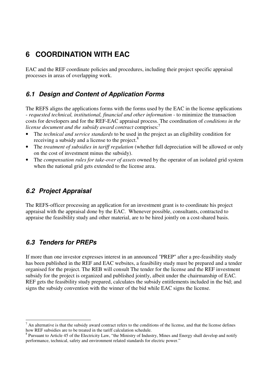# **6 COORDINATION WITH EAC**

EAC and the REF coordinate policies and procedures, including their project specific appraisal processes in areas of overlapping work.

### **6.1 Design and Content of Application Forms**

The REFS aligns the applications forms with the forms used by the EAC in the license applications - *requested technical, institutional, financial and other information -* to minimize the transaction costs for developers and for the REF-EAC appraisal process. The coordination of *conditions in the license document and the subsidy award contract* comprises:<sup>7</sup>

- The *technical and service standards* to be used in the project as an eligibility condition for receiving a subsidy and a license to the project.<sup>8</sup>
- The *treatment of subsidies in tariff regulation* (whether full depreciation will be allowed or only on the cost of investment minus the subsidy).
- The *compensation rules for take-over of assets* owned by the operator of an isolated grid system when the national grid gets extended to the license area.

# **6.2 Project Appraisal**

The REFS-officer processing an application for an investment grant is to coordinate his project appraisal with the appraisal done by the EAC. Whenever possible, consultants, contracted to appraise the feasibility study and other material, are to be hired jointly on a cost-shared basis.

## **6.3 Tenders for PREPs**

If more than one investor expresses interest in an announced "PREP" after a pre-feasibility study has been published in the REF and EAC websites, a feasibility study must be prepared and a tender organised for the project. The REB will consult The tender for the license and the REF investment subsidy for the project is organized and published jointly, albeit under the chairmanship of EAC*.* REF gets the feasibility study prepared, calculates the subsidy entitlements included in the bid; and signs the subsidy convention with the winner of the bid while EAC signs the license.

 $\overline{a}$  $<sup>7</sup>$  An alternative is that the subsidy award contract refers to the conditions of the license, and that the license defines</sup> how REF subsidies are to be treated in the tariff calculation schedule.

 $8$  Pursuant to Article 45 of the Electricity Law, "the Ministry of Industry, Mines and Energy shall develop and notify performance, technical, safety and environment related standards for electric power."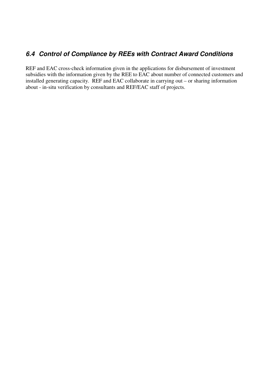# **6.4 Control of Compliance by REEs with Contract Award Conditions**

REF and EAC cross-check information given in the applications for disbursement of investment subsidies with the information given by the REE to EAC about number of connected customers and installed generating capacity. REF and EAC collaborate in carrying out – or sharing information about - in-situ verification by consultants and REF/EAC staff of projects.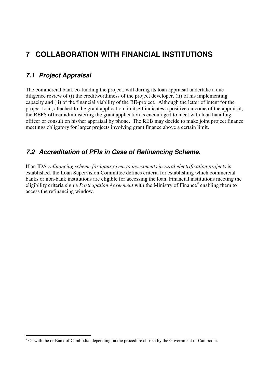# **7 COLLABORATION WITH FINANCIAL INSTITUTIONS**

## **7.1 Project Appraisal**

 $\overline{a}$ 

The commercial bank co-funding the project, will during its loan appraisal undertake a due diligence review of (i) the creditworthiness of the project developer, (ii) of his implementing capacity and (ii) of the financial viability of the RE-project. Although the letter of intent for the project loan, attached to the grant application, in itself indicates a positive outcome of the appraisal, the REFS officer administering the grant application is encouraged to meet with loan handling officer or consult on his/her appraisal by phone. The REB may decide to make joint project finance meetings obligatory for larger projects involving grant finance above a certain limit.

### **7.2 Accreditation of PFIs in Case of Refinancing Scheme.**

If an IDA *refinancing scheme for loans given to investments in rural electrification projects* is established, the Loan Supervision Committee defines criteria for establishing which commercial banks or non-bank institutions are eligible for accessing the loan. Financial institutions meeting the eligibility criteria sign a *Participation Agreement* with the Ministry of Finance<sup>9</sup> enabling them to access the refinancing window.

 $9^9$  Or with the or Bank of Cambodia, depending on the procedure chosen by the Government of Cambodia.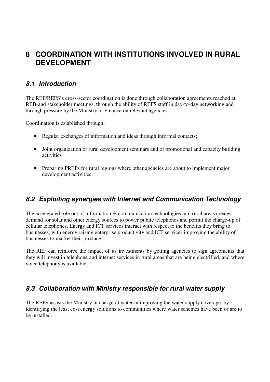# **8 COORDINATION WITH INSTITUTIONS INVOLVED IN RURAL DEVELOPMENT**

### **8.1 Introduction**

The REF/REFS's cross-sector coordination is done through collaboration agreements reached at REB-and stakeholder meetings, through the ability of REFS staff in day-to-day networking and through pressure by the Ministry of Finance on relevant agencies.

Coordination is established through:

- Regular exchanges of information and ideas through informal contacts;
- Joint organization of rural development seminars and of promotional and capacity building activities
- Preparing PREPs for rural regions where other agencies are about to implement major development activities.

### **8.2 Exploiting synergies with Internet and Communication Technology**

The accelerated role out of information & communication technologies into rural areas creates demand for solar and other energy sources to power public telephones and permit the charge-up of cellular telephones. Energy and ICT services interact with respect to the benefits they bring to businesses, with energy raising enterprise productivity and ICT services improving the ability of businesses to market their produce.

The REF can reinforce the impact of its investments by getting agencies to sign agreements that they will invest in telephone and internet services in rural areas that are being electrified, and where voice telephony is available.

### **8.3 Collaboration with Ministry responsible for rural water supply**

The REFS assists the Ministry in charge of water in improving the water supply coverage, by identifying the least cost energy solutions to communities where water schemes have been or are to be installed.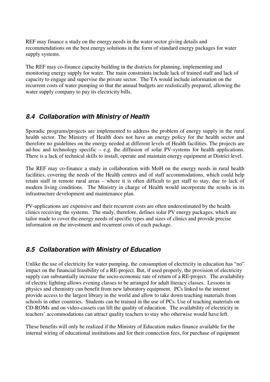REF may finance a study on the energy needs in the water sector giving details and recommendations on the best energy solutions in the form of standard energy packages for water supply systems.

The REF may co-finance capacity building in the districts for planning, implementing and monitoring energy supply for water. The main constraints include lack of trained staff and lack of capacity to engage and supervise the private sector. The TA would include information on the recurrent costs of water pumping so that the annual budgets are realistically prepared, allowing the water supply company to pay its electricity bills.

### **8.4 Collaboration with Ministry of Health**

Sporadic programs/projects are implemented to address the problem of energy supply in the rural health sector. The Ministry of Health does not have an energy policy for the health sector and therefore no guidelines on the energy needed at different levels of Health facilities. The projects are ad-hoc and technology specific – e.g. the diffusion of solar PV-systems for health applications. There is a lack of technical skills to install, operate and maintain energy equipment at District level.

The REF may co-finance a study in collaboration with MoH on the energy needs in rural health facilities, covering the needs of the Health centres and of staff accommodations, which could help retain staff in remote rural areas – where it is often difficult to get staff to stay, due to lack of modern living conditions. The Ministry in charge of Health would incorporate the results in its infrastructure development and maintenance plan.

PV-applications are expensive and their recurrent costs are often underestimated by the health clinics receiving the systems. The study, therefore, defines solar PV energy packages, which are tailor made to cover the energy needs of specific types and sizes of clinics and provide precise information on the investment and recurrent costs of each package.

## **8.5 Collaboration with Ministry of Education**

Unlike the use of electricity for water pumping, the consumption of electricity in education has "no" impact on the financial feasibility of a RE-project. But, if used properly, the provision of electricity supply can substantially increase the socio-economic rate of return of a RE-project. The availability of electric lighting allows evening classes to be arranged for adult literacy classes. Lessons in physics and chemistry can benefit from new laboratory equipment. PCs linked to the internet provide access to the largest library in the world and allow to take down teaching materials from schools in other countries. Students can be trained in the use of PCs. Use of teaching materials on CD-ROMs and on video-cassets can lift the quality of education. The availability of electricity in teachers' accommodations can attract quality teachers to stay who otherwise would have left.

These benefits will only be realized if the Ministry of Education makes finance available for the internal wiring of educational institutions and for their connection fees, for purchase of equipment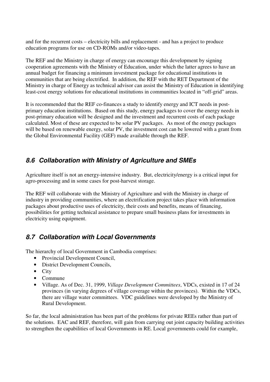and for the recurrent costs – electricity bills and replacement - and has a project to produce education programs for use on CD-ROMs and/or video-tapes.

The REF and the Ministry in charge of energy can encourage this development by signing cooperation agreements with the Ministry of Education, under which the latter agrees to have an annual budget for financing a minimum investment package for educational institutions in communities that are being electrified. In addition, the REF with the RET Department of the Ministry in charge of Energy as technical advisor can assist the Ministry of Education in identifying least-cost energy solutions for educational institutions in communities located in "off-grid" areas.

It is recommended that the REF co-finances a study to identify energy and ICT needs in postprimary education institutions. Based on this study, energy packages to cover the energy needs in post-primary education will be designed and the investment and recurrent costs of each package calculated. Most of these are expected to be solar PV packages. As most of the energy packages will be based on renewable energy, solar PV, the investment cost can be lowered with a grant from the Global Environmental Facility (GEF) made available through the REF.

## **8.6 Collaboration with Ministry of Agriculture and SMEs**

Agriculture itself is not an energy-intensive industry. But, electricity/energy is a critical input for agro-processing and in some cases for post-harvest storage.

The REF will collaborate with the Ministry of Agriculture and with the Ministry in charge of industry in providing communities, where an electrification project takes place with information packages about productive uses of electricity, their costs and benefits, means of financing, possibilities for getting technical assistance to prepare small business plans for investments in electricity using equipment.

# **8.7 Collaboration with Local Governments**

The hierarchy of local Government in Cambodia comprises:

- Provincial Development Council,
- District Development Councils,
- City
- Commune
- Village. As of Dec. 31, 1999, *Village Development Committees*, VDCs, existed in 17 of 24 provinces (in varying degrees of village coverage within the provinces). Within the VDCs, there are village water committees. VDC guidelines were developed by the Ministry of Rural Development.

So far, the local administration has been part of the problems for private REEs rather than part of the solutions. EAC and REF, therefore, will gain from carrying out joint capacity building activities to strengthen the capabilities of local Governments in RE. Local governments could for example,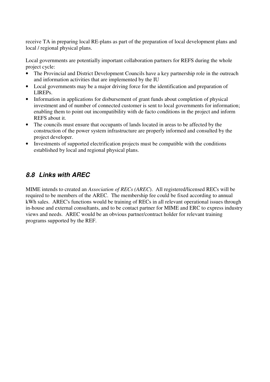receive TA in preparing local RE-plans as part of the preparation of local development plans and local / regional physical plans.

Local governments are potentially important collaboration partners for REFS during the whole project cycle:

- The Provincial and District Development Councils have a key partnership role in the outreach and information activities that are implemented by the IU
- Local governments may be a major driving force for the identification and preparation of LIREPs.
- Information in applications for disbursement of grant funds about completion of physical investment and of number of connected customer is sent to local governments for information; enabling them to point out incompatibility with de facto conditions in the project and inform REFS about it.
- The councils must ensure that occupants of lands located in areas to be affected by the construction of the power system infrastructure are properly informed and consulted by the project developer.
- Investments of supported electrification projects must be compatible with the conditions established by local and regional physical plans.

# **8.8 Links with AREC**

MIME intends to created an *Association of RECs (AREC*). All registered/licensed RECs will be required to be members of the AREC. The membership fee could be fixed according to annual kWh sales. AREC's functions would be training of RECs in all relevant operational issues through in-house and external consultants, and to be contact partner for MIME and ERC to express industry views and needs. AREC would be an obvious partner/contract holder for relevant training programs supported by the REF.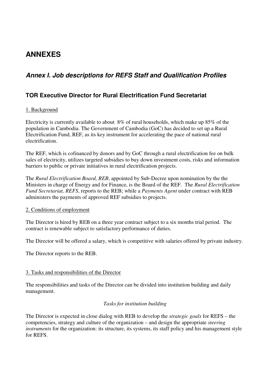# **ANNEXES**

# **Annex I. Job descriptions for REFS Staff and Qualification Profiles**

### **TOR Executive Director for Rural Electrification Fund Secretariat**

#### 1. Background

Electricity is currently available to about 8% of rural households, which make up 85% of the population in Cambodia. The Government of Cambodia (GoC) has decided to set up a Rural Electrification Fund, REF, as its key instrument for accelerating the pace of national rural electrification.

The REF, which is cofinanced by donors and by GoC through a rural electrification fee on bulk sales of electricity, utilizes targeted subsidies to buy down investment costs, risks and information barriers to public or private initiatives in rural electrification projects.

The *Rural Electrification Board, REB*, appointed by Sub-Decree upon nomination by the the Ministers in charge of Energy and for Finance, is the Board of the REF. The *Rural Electrification Fund Secretariat, REFS*, reports to the REB; while a *Payments Agent* under contract with REB administers the payments of approved REF subsidies to projects.

#### 2. Conditions of employment

The Director is hired by REB on a three year contract subject to a six months trial period. The contract is renewable subject to satisfactory performance of duties.

The Director will be offered a salary, which is competitive with salaries offered by private industry.

The Director reports to the REB.

#### 3. Tasks and responsibilities of the Director

The responsibilities and tasks of the Director can be divided into institution building and daily management.

#### *Tasks for institution building*

The Director is expected in close dialog with REB to develop the *strategic goals* for REFS – the competencies, strategy and culture of the organization – and design the appropriate *steering instruments* for the organization: its structure, its systems, its staff policy and his management style for REFS.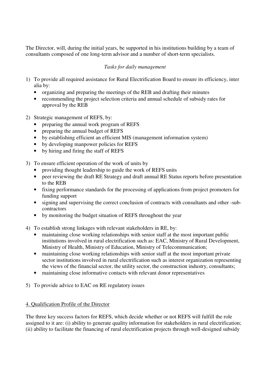The Director, will, during the initial years, be supported in his institutions building by a team of consultants composed of one long-term advisor and a number of short-term specialists.

#### *Tasks for daily management*

- 1) To provide all required assistance for Rural Electrification Board to ensure its efficiency, inter alia by:
	- organizing and preparing the meetings of the REB and drafting their minutes
	- recommending the project selection criteria and annual schedule of subsidy rates for approval by the REB
- 2) Strategic management of REFS, by:
	- preparing the annual work program of REFS
	- preparing the annual budget of REFS
	- by establishing efficient an efficient MIS (management information system)
	- by developing manpower policies for REFS
	- by hiring and firing the staff of REFS
- 3) To ensure efficient operation of the work of units by
	- providing thought leadership to guide the work of REFS units
	- peer reviewing the draft RE Strategy and draft annual RE Status reports before presentation to the REB
	- fixing performance standards for the processing of applications from project promoters for funding support
	- signing and supervising the correct conclusion of contracts with consultants and other -subcontractors
	- by monitoring the budget situation of REFS throughout the year
- 4) To establish strong linkages with relevant stakeholders in RE, by:
	- maintaining close working relationships with senior staff at the most important public institutions involved in rural electrification such as: EAC, Ministry of Rural Development, Ministry of Health, Ministry of Education, Ministry of Telecommunication;
	- maintaining close working relationships with senior staff at the most important private sector institutions involved in rural electrification such as interest organization representing the views of the financial sector, the utility sector, the construction industry, consultants;
	- maintaining close informative contacts with relevant donor representatives
- 5) To provide advice to EAC on RE regulatory issues

#### 4. Qualification Profile of the Director

The three key success factors for REFS, which decide whether or not REFS will fulfill the role assigned to it are: (i) ability to generate quality information for stakeholders in rural electrification; (ii) ability to facilitate the financing of rural electrification projects through well-designed subsidy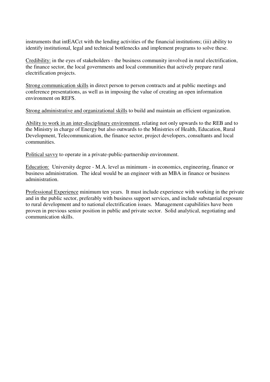instruments that intEACct with the lending activities of the financial institutions; (iii) ability to identify institutional, legal and technical bottlenecks and implement programs to solve these.

Credibility: in the eyes of stakeholders - the business community involved in rural electrification, the finance sector, the local governments and local communities that actively prepare rural electrification projects.

Strong communication skills in direct person to person contracts and at public meetings and conference presentations, as well as in imposing the value of creating an open information environment on REFS.

Strong administrative and organizational skills to build and maintain an efficient organization.

Ability to work in an inter-disciplinary environment, relating not only upwards to the REB and to the Ministry in charge of Energy but also outwards to the Ministries of Health, Education, Rural Development, Telecommunication, the finance sector, project developers, consultants and local communities.

Political savvy to operate in a private-public-partnership environment.

Education: University degree - M.A. level as minimum - in economics, engineering, finance or business administration. The ideal would be an engineer with an MBA in finance or business administration.

Professional Experience minimum ten years. It must include experience with working in the private and in the public sector, preferably with business support services, and include substantial exposure to rural development and to national electrification issues. Management capabilities have been proven in previous senior position in public and private sector. Solid analytical, negotiating and communication skills.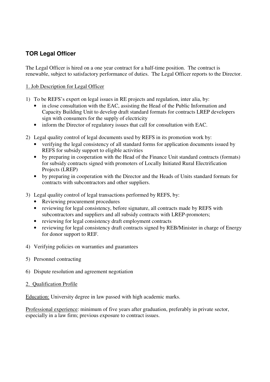### **TOR Legal Officer**

The Legal Officer is hired on a one year contract for a half-time position. The contract is renewable, subject to satisfactory performance of duties. The Legal Officer reports to the Director.

#### 1. Job Description for Legal Officer

- 1) To be REFS's expert on legal issues in RE projects and regulation, inter alia, by:
	- in close consultation with the EAC, assisting the Head of the Public Information and Capacity Building Unit to develop draft standard formats for contracts LREP developers sign with consumers for the supply of electricity
	- inform the Director of regulatory issues that call for consultation with EAC.
- 2) Legal quality control of legal documents used by REFS in its promotion work by:
	- verifying the legal consistency of all standard forms for application documents issued by REFS for subsidy support to eligible activities
	- by preparing in cooperation with the Head of the Finance Unit standard contracts (formats) for subsidy contracts signed with promoters of Locally Initiated Rural Electrification Projects (LREP)
	- by preparing in cooperation with the Director and the Heads of Units standard formats for contracts with subcontractors and other suppliers.
- 3) Legal quality control of legal transactions performed by REFS, by:
	- Reviewing procurement procedures
	- reviewing for legal consistency, before signature, all contracts made by REFS with subcontractors and suppliers and all subsidy contracts with LREP-promoters;
	- reviewing for legal consistency draft employment contracts
	- reviewing for legal consistency draft contracts signed by REB/Minister in charge of Energy for donor support to REF.
- 4) Verifying policies on warranties and guarantees
- 5) Personnel contracting
- 6) Dispute resolution and agreement negotiation
- 2. Qualification Profile

Education: University degree in law passed with high academic marks.

Professional experience: minimum of five years after graduation, preferably in private sector, especially in a law firm; previous exposure to contract issues.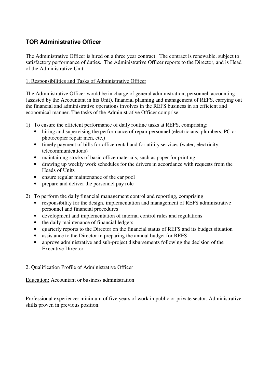### **TOR Administrative Officer**

The Administrative Officer is hired on a three year contract. The contract is renewable, subject to satisfactory performance of duties. The Administrative Officer reports to the Director, and is Head of the Administrative Unit.

#### 1. Responsibilities and Tasks of Administrative Officer

The Administrative Officer would be in charge of general administration, personnel, accounting (assisted by the Accountant in his Unit), financial planning and management of REFS, carrying out the financial and administrative operations involves in the REFS business in an efficient and economical manner. The tasks of the Administrative Officer comprise:

- 1) To ensure the efficient performance of daily routine tasks at REFS, comprising:
	- hiring and supervising the performance of repair personnel (electricians, plumbers, PC or photocopier repair men, etc.)
	- timely payment of bills for office rental and for utility services (water, electricity, telecommunications)
	- maintaining stocks of basic office materials, such as paper for printing
	- drawing up weekly work schedules for the drivers in accordance with requests from the Heads of Units
	- ensure regular maintenance of the car pool
	- prepare and deliver the personnel pay role
- 2) To perform the daily financial management control and reporting, comprising
	- responsibility for the design, implementation and management of REFS administrative personnel and financial procedures
	- development and implementation of internal control rules and regulations
	- the daily maintenance of financial ledgers
	- quarterly reports to the Director on the financial status of REFS and its budget situation
	- assistance to the Director in preparing the annual budget for REFS
	- approve administrative and sub-project disbursements following the decision of the Executive Director

#### 2. Qualification Profile of Administrative Officer

Education: Accountant or business administration

Professional experience: minimum of five years of work in public or private sector. Administrative skills proven in previous position.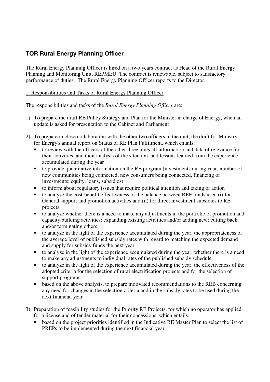### **TOR Rural Energy Planning Officer**

The Rural Energy Planning Officer is hired on a two years contract as Head of the Rural Energy Planning and Monitoring Unit, REPMEU. The contract is renewable, subject to satisfactory performance of duties. The Rural Energy Planning Officer reports to the Director.

#### 1. Responsibilities and Tasks of Rural Energy Planning Officer

The responsibilities and tasks of the *Rural Energy Planning Officer* are:

- 1) To prepare the draft RE Policy Strategy and Plan for the Minister in charge of Energy, when an update is asked for presentation to the Cabinet and Parliament
- 2) To prepare in close collaboration with the other two officers in the unit, the draft for Ministry for Energy's annual report on Status of RE Plan Fulfilment, which entails:
	- to review with the officers of the other three units all information and data of relevance for their activities, and their analysis of the situation and lessons learned from the experience accumulated during the year
	- to provide quantitative information on the RE program (investments during year, number of new communities being connected, new consumers being connected, financing of investments: equity, loans, subsidies)
	- to inform about regulatory issues that require political attention and taking of action
	- to analyze the cost-benefit effectiveness of the balance between REF funds used (i) for General support and promotion activities and (ii) for direct investment subsidies to RE projects
	- to analyze whether there is a need to make any adjustments in the portfolio of promotion and capacity building activities; expanding existing activities and/or adding new; cutting back and/or terminating others
	- to analyze in the light of the experience accumulated during the year, the appropriateness of the average level of published subsidy rates with regard to matching the expected demand and supply for subsidy funds the next year
	- to analyze in the light of the experience accumulated during the year, whether there is a need to make any adjustments to individual rates of the published subsidy schedule
	- to analyze in the light of the experience accumulated during the year, the effectiveness of the adopted criteria for the selection of rural electrification projects and for the selection of support programs
	- based on the above analysis, to prepare motivated recommendations to the REB concerning any need for changes in the selection criteria and in the subsidy rates to be used during the next financial year
- 3) Preparation of feasibility studies for the Priority RE Projects, for which no operator has applied for a license and of tender material for their concessions, which entails:
	- based on the project priorities identified in the Indicative RE Master Plan to select the list of PREPs to be implemented during the next financial year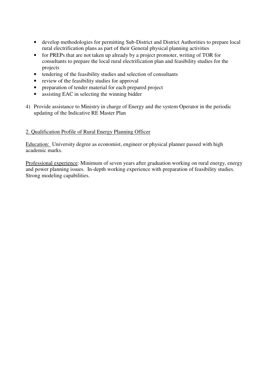- develop methodologies for permitting Sub-District and District Authorities to prepare local rural electrification plans as part of their General physical planning activities
- for PREPs that are not taken up already by a project promoter, writing of TOR for consultants to prepare the local rural electrification plan and feasibility studies for the projects
- tendering of the feasibility studies and selection of consultants
- review of the feasibility studies for approval
- preparation of tender material for each prepared project
- assisting EAC in selecting the winning bidder
- 4) Provide assistance to Ministry in charge of Energy and the system Operator in the periodic updating of the Indicative RE Master Plan

#### 2. Qualification Profile of Rural Energy Planning Officer

Education: University degree as economist, engineer or physical planner passed with high academic marks.

Professional experience: Minimum of seven years after graduation working on rural energy, energy and power planning issues. In-depth working experience with preparation of feasibility studies. Strong modeling capabilities.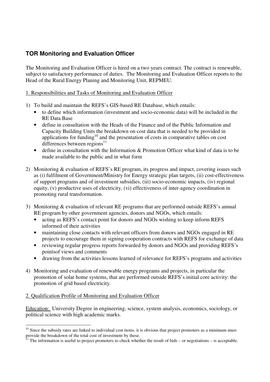### **TOR Monitoring and Evaluation Officer**

The Monitoring and Evaluation Officer is hired on a two years contract. The contract is renewable, subject to satisfactory performance of duties. The Monitoring and Evaluation Officer reports to the Head of the Rural Energy Planing and Monitoring Unit, REPMEU.

#### 1. Responsibilities and Tasks of Monitoring and Evaluation Officer

- 1) To build and maintain the REFS's GIS-based RE Database, which entails:
	- to define which information (investment and socio-economic data) will be included in the RE Data Base
	- define in consultation with the Heads of the Finance and of the Public Information and Capacity Building Units the breakdown on cost data that is needed to be provided in applications for funding<sup>10</sup> and the presentation of costs in comparative tables on cost differences between regions<sup>11</sup>
	- define in consultation with the Information & Promotion Officer what kind of data is to be made available to the public and in what form
- 2) Monitoring & evaluation of REFS's RE program, its progress and impact, covering issues such as (i) fulfilment of Government/Ministry for Energy strategic plan targets, (ii) cost-effectiveness of support programs and of investment subsidies, (iii) socio-economic impacts, (iv) regional equity, (v) productive uses of electricity, (vi) effectiveness of inter-agency coordination in promoting rural transformation.
- 3) Monitoring & evaluation of relevant RE programs that are performed outside REFS's annual RE program by other government agencies, donors and NGOs, which entails:
	- acting as REFS's contact point for donors and NGOs wishing to keep inform REFS informed of their activities
	- maintaining close contacts with relevant officers from donors and NGOs engaged in RE projects to encourage them in signing cooperation contracts with REFS for exchange of data
	- reviewing regular progress reports forwarded by donors and NGOs and providing REFS's pointsof views and comments
	- drawing from the activities lessons learned of relevance for REFS's programs and activities
- 4) Monitoring and evaluation of renewable energy programs and projects, in particular the promotion of solar home systems, that are performed outside REFS's initial core activity: the promotion of grid based electricity.

#### 2. Qualification Profile of Monitoring and Evaluation Officer

Education: University Degree in engineering, science, system analysis, economics, sociology, or political science with high academic marks.

 $\overline{a}$  $10$  Since the subsidy rates are linked to individual cost items, it is obvious that project promoters as a minimum must provide the breakdown of the total cost of investment by these.

<sup>11</sup> The information is useful to project promoters to check whether the result of bids – or negotiations – is acceptable.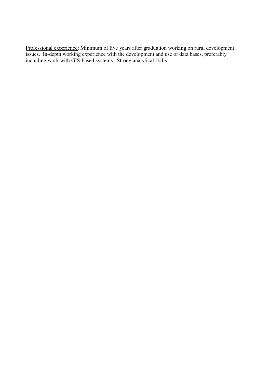Professional experience: Minimum of five years after graduation working on rural development issues. In-depth working experience with the development and use of data bases, preferably including work with GIS-based systems. Strong analytical skills.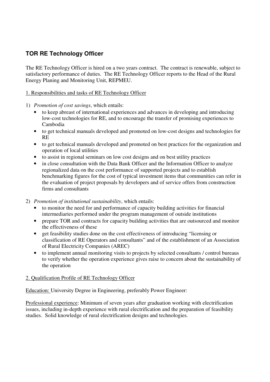## **TOR RE Technology Officer**

The RE Technology Officer is hired on a two years contract. The contract is renewable, subject to satisfactory performance of duties. The RE Technology Officer reports to the Head of the Rural Energy Planing and Monitoring Unit, REPMEU.

#### 1. Responsibilities and tasks of RE Technology Officer

- 1) *Promotion of cost savings*, which entails:
	- to keep abreast of international experiences and advances in developing and introducing low-cost technologies for RE, and to encourage the transfer of promising experiences to Cambodia
	- to get technical manuals developed and promoted on low-cost designs and technologies for RE
	- to get technical manuals developed and promoted on best practices for the organization and operation of local utilities
	- to assist in regional seminars on low cost designs and on best utility practices
	- in close consultation with the Data Bank Officer and the Information Officer to analyze regionalized data on the cost performance of supported projects and to establish benchmarking figures for the cost of typical investment items that communities can refer in the evaluation of project proposals by developers and of service offers from construction firms and consultants
- 2) *Promotion of institutional sustainability*, which entails:
	- to monitor the need for and performance of capacity building activities for financial intermediaries performed under the program management of outside institutions
	- prepare TOR and contracts for capacity building activities that are outsourced and monitor the effectiveness of these
	- get feasibility studies done on the cost effectiveness of introducing "licensing or classification of RE Operators and consultants" and of the establishment of an Association of Rural Electricity Companies (AREC)
	- to implement annual monitoring visits to projects by selected consultants / control bureaus to verify whether the operation experience gives raise to concern about the sustainability of the operation

#### 2. Qualification Profile of RE Technology Officer

Education: University Degree in Engineering, preferably Power Engineer:

Professional experience: Minimum of seven years after graduation working with electrification issues, including in-depth experience with rural electrification and the preparation of feasibility studies. Solid knowledge of rural electrification designs and technologies.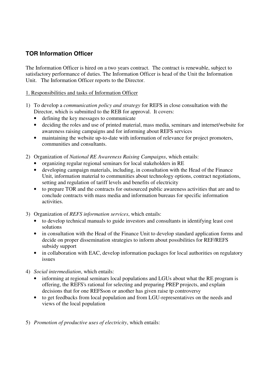### **TOR Information Officer**

The Information Officer is hired on a two years contract. The contract is renewable, subject to satisfactory performance of duties. The Information Officer is head of the Unit the Information Unit. The Information Officer reports to the Director.

#### 1. Responsibilities and tasks of Information Officer

- 1) To develop a *communication policy and strategy* for REFS in close consultation with the Director, which is submitted to the REB for approval. It covers:
	- defining the key messages to communicate
	- deciding the roles and use of printed material, mass media, seminars and internet/website for awareness raising campaigns and for informing about REFS services
	- maintaining the website up-to-date with information of relevance for project promoters, communities and consultants.
- 2) Organization of *National RE Awareness Raising Campaigns*, which entails:
	- organizing regular regional seminars for local stakeholders in RE
	- developing campaign materials, including, in consultation with the Head of the Finance Unit, information material to communities about technology options, contract negotiations, setting and regulation of tariff levels and benefits of electricity
	- to prepare TOR and the contracts for outsourced public awareness activities that are and to conclude contracts with mass media and information bureaus for specific information activities.
- 3) Organization of *REFS information services*, which entails:
	- to develop technical manuals to guide investors and consultants in identifying least cost solutions
	- in consultation with the Head of the Finance Unit to develop standard application forms and decide on proper dissemination strategies to inform about possibilities for REF/REFS subsidy support
	- in collaboration with EAC, develop information packages for local authorities on regulatory issues
- 4) *Social intermediation*, which entails:
	- informing at regional seminars local populations and LGUs about what the RE program is offering, the REFS's rational for selecting and preparing PREP projects, and explain decisions that for one REFSson or another has given raise tp controversy
	- to get feedbacks from local population and from LGU-representatives on the needs and views of the local population
- 5) *Promotion of productive uses of electricity*, which entails: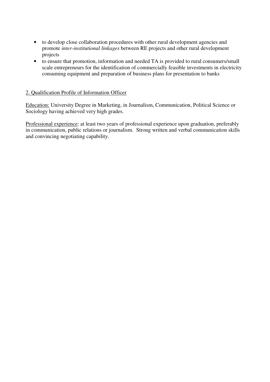- to develop close collaboration procedures with other rural development agencies and promote *inter-institutional linkages* between RE projects and other rural development projects
- to ensure that promotion, information and needed TA is provided to rural consumers/small scale entrepreneurs for the identification of commercially feasible investments in electricity consuming equipment and preparation of business plans for presentation to banks

#### 2. Qualification Profile of Information Officer

Education: University Degree in Marketing, in Journalism, Communication, Political Science or Sociology having achieved very high grades.

Professional experience: at least two years of professional experience upon graduation, preferably in communication, public relations or journalism. Strong written and verbal communication skills and convincing negotiating capability.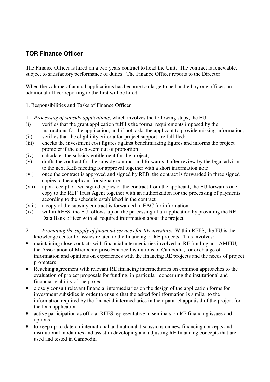### **TOR Finance Officer**

The Finance Officer is hired on a two years contract to head the Unit. The contract is renewable, subject to satisfactory performance of duties. The Finance Officer reports to the Director.

When the volume of annual applications has become too large to be handled by one officer, an additional officer reporting to the first will be hired.

#### 1. Responsibilities and Tasks of Finance Officer

- 1. *Processing of subsidy applications*, which involves the following steps; the FU:
- (i) verifies that the grant application fulfills the formal requirements imposed by the instructions for the application, and if not, asks the applicant to provide missing information;
- (ii) verifies that the eligibility criteria for project support are fulfilled;
- (iii) checks the investment cost figures against benchmarking figures and informs the project promoter if the costs seem out of proportion;
- (iv) calculates the subsidy entitlement for the project;
- (v) drafts the contract for the subsidy contract and forwards it after review by the legal advisor to the next REB meeting for approval together with a short information note
- (vi) once the contract is approved and signed by REB, the contract is forwarded in three signed copies to the applicant for signature
- (vii) upon receipt of two signed copies of the contract from the applicant, the FU forwards one copy to the REF Trust Agent together with an authorization for the processing of payments according to the schedule established in the contract
- (viii) a copy of the subsidy contract is forwarded to EAC for information
- (ix) within REFS, the FU follows-up on the processing of an application by providing the RE Data Bank officer with all required information about the project.
- 2. *Promoting the supply of financial services for RE investors*,. Within REFS, the FU is the knowledge center for issues related to the financing of RE projects. This involves:
- maintaining close contacts with financial intermediaries involved in RE funding and AMFIU*,*  the Association of Microenterprise Finance Institutions of Cambodia, for exchange of information and opinions on experiences with the financing RE projects and the needs of project promoters
- Reaching agreement with relevant RE financing intermediaries on common approaches to the evaluation of project proposals for funding, in particular, concerning the institutional and financial viability of the project
- closely consult relevant financial intermediaries on the design of the application forms for investment subsidies in order to ensure that the asked for information is similar to the information required by the financial intermediaries in their parallel appraisal of the project for the loan application
- active participation as official REFS representative in seminars on RE financing issues and options
- to keep up-to-date on international and national discussions on new financing concepts and institutional modalities and assist in developing and adjusting RE financing concepts that are used and tested in Cambodia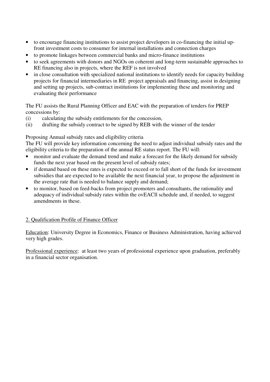- to encourage financing institutions to assist project developers in co-financing the initial upfront investment costs to consumer for internal installations and connection charges
- to promote linkages between commercial banks and micro-finance institutions
- to seek agreements with donors and NGOs on coherent and long-term sustainable approaches to RE financing also in projects, where the REF is not involved
- in close consultation with specialized national institutions to identify needs for capacity building projects for financial intermediaries in RE project appraisals and financing, assist in designing and setting up projects, sub-contract institutions for implementing these and monitoring and evaluating their performance

The FU assists the Rural Planning Officer and EAC with the preparation of tenders for PREP concessions by:

- (i) calculating the subsidy entitlements for the concession,
- (ii) drafting the subsidy contract to be signed by REB with the winner of the tender

Proposing Annual subsidy rates and eligibility criteria

The FU will provide key information concerning the need to adjust individual subsidy rates and the eligibility criteria to the preparation of the annual RE status report. The FU will:

- monitor and evaluate the demand trend and make a forecast for the likely demand for subsidy funds the next year based on the present level of subsidy rates;
- if demand based on these rates is expected to exceed or to fall short of the funds for investment subsidies that are expected to be available the next financial year, to propose the adjustment in the average rate that is needed to balance supply and demand;
- to monitor, based on feed-backs from project promoters and consultants, the rationality and adequacy of individual subsidy rates within the ovEACll schedule and, if needed, to suggest amendments in these.

#### 2. Qualification Profile of Finance Officer

Education: University Degree in Economics, Finance or Business Administration, having achieved very high grades.

Professional experience: at least two years of professional experience upon graduation, preferably in a financial sector organisation.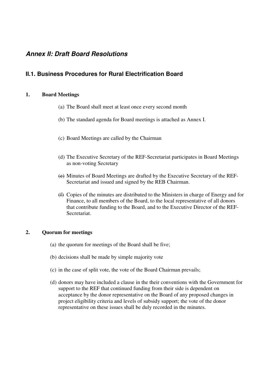### **Annex II: Draft Board Resolutions**

### **II.1. Business Procedures for Rural Electrification Board**

#### **1. Board Meetings**

- (a) The Board shall meet at least once every second month
- (b) The standard agenda for Board meetings is attached as Annex I.
- (c) Board Meetings are called by the Chairman
- (d) The Executive Secretary of the REF-Secretariat participates in Board Meetings as non-voting Secretary
- (e) Minutes of Board Meetings are drafted by the Executive Secretary of the REF-Secretariat and issued and signed by the REB Chairman.
- (f) Copies of the minutes are distributed to the Ministers in charge of Energy and for Finance, to all members of the Board, to the local representative of all donors that contribute funding to the Board, and to the Executive Director of the REF-Secretariat.

#### **2. Quorum for meetings**

- (a) the quorum for meetings of the Board shall be five;
- (b) decisions shall be made by simple majority vote
- (c) in the case of split vote, the vote of the Board Chairman prevails;
- (d) donors may have included a clause in the their conventions with the Government for support to the REF that continued funding from their side is dependent on acceptance by the donor representative on the Board of any proposed changes in project eligibility criteria and levels of subsidy support; the vote of the donor representative on these issues shall be duly recorded in the minutes.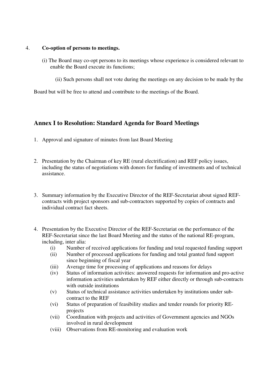#### 4. **Co-option of persons to meetings.**

- (i) The Board may co-opt persons to its meetings whose experience is considered relevant to enable the Board execute its functions;
	- (ii) Such persons shall not vote during the meetings on any decision to be made by the

Board but will be free to attend and contribute to the meetings of the Board.

### **Annex I to Resolution: Standard Agenda for Board Meetings**

- 1. Approval and signature of minutes from last Board Meeting
- 2. Presentation by the Chairman of key RE (rural electrification) and REF policy issues, including the status of negotiations with donors for funding of investments and of technical assistance.
- 3. Summary information by the Executive Director of the REF-Secretariat about signed REFcontracts with project sponsors and sub-contractors supported by copies of contracts and individual contract fact sheets.
- 4. Presentation by the Executive Director of the REF-Secretariat on the performance of the REF-Secretariat since the last Board Meeting and the status of the national RE-program, including, inter alia:
	- (i) Number of received applications for funding and total requested funding support
	- (ii) Number of processed applications for funding and total granted fund support since beginning of fiscal year
	- (iii) Average time for processing of applications and reasons for delays
	- (iv) Status of information activities: answered requests for information and pro-active information activities undertaken by REF either directly or through sub-contracts with outside institutions
	- (v) Status of technical assistance activities undertaken by institutions under subcontract to the REF
	- (vi) Status of preparation of feasibility studies and tender rounds for priority REprojects
	- (vii) Coordination with projects and activities of Government agencies and NGOs involved in rural development
	- (viii) Observations from RE-monitoring and evaluation work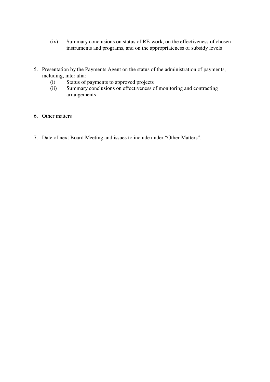- (ix) Summary conclusions on status of RE-work, on the effectiveness of chosen instruments and programs, and on the appropriateness of subsidy levels
- 5. Presentation by the Payments Agent on the status of the administration of payments, including, inter alia:
	- (i) Status of payments to approved projects
	- (ii) Summary conclusions on effectiveness of monitoring and contracting arrangements
- 6. Other matters
- 7. Date of next Board Meeting and issues to include under "Other Matters".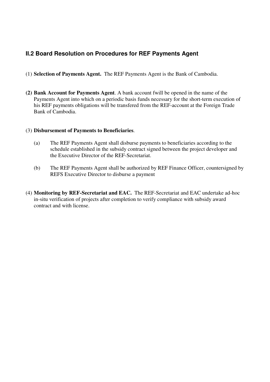### **II.2 Board Resolution on Procedures for REF Payments Agent**

- (1) **Selection of Payments Agent.** The REF Payments Agent is the Bank of Cambodia.
- **(2) Bank Account for Payments Agent**. A bank account fwill be opened in the name of the Payments Agent into which on a periodic basis funds necessary for the short-term execution of his REF payments obligations will be transfered from the REF-account at the Foreign Trade Bank of Cambodia.

#### (3) **Disbursement of Payments to Beneficiaries**.

- (a) The REF Payments Agent shall disburse payments to beneficiaries according to the schedule established in the subsidy contract signed between the project developer and the Executive Director of the REF-Secretariat.
- (b) The REF Payments Agent shall be authorized by REF Finance Officer, countersigned by REFS Executive Director to disburse a payment
- (4) **Monitoring by REF-Secretariat and EAC.** The REF-Secretariat and EAC undertake ad-hoc in-situ verification of projects after completion to verify compliance with subsidy award contract and with license.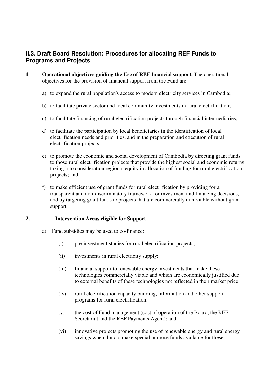### **II.3. Draft Board Resolution: Procedures for allocating REF Funds to Programs and Projects**

- **1**. **Operational objectives guiding the Use of REF financial support.** The operational objectives for the provision of financial support from the Fund are:
	- a) to expand the rural population's access to modern electricity services in Cambodia;
	- b) to facilitate private sector and local community investments in rural electrification;
	- c) to facilitate financing of rural electrification projects through financial intermediaries;
	- d) to facilitate the participation by local beneficiaries in the identification of local electrification needs and priorities, and in the preparation and execution of rural electrification projects;
	- e) to promote the economic and social development of Cambodia by directing grant funds to those rural electrification projects that provide the highest social and economic returns taking into consideration regional equity in allocation of funding for rural electrification projects; and
	- f) to make efficient use of grant funds for rural electrification by providing for a transparent and non-discriminatory framework for investment and financing decisions, and by targeting grant funds to projects that are commercially non-viable without grant support.

#### **2. Intervention Areas eligible for Support**

- a) Fund subsidies may be used to co-finance:
	- (i) pre-investment studies for rural electrification projects;
	- (ii) investments in rural electricity supply;
	- (iii) financial support to renewable energy investments that make these technologies commercially viable and which are economically justified due to external benefits of these technologies not reflected in their market price;
	- (iv) rural electrification capacity building, information and other support programs for rural electrification;
	- (v) the cost of Fund management (cost of operation of the Board, the REF-Secretariat and the REF Payments Agent); and
	- (vi) innovative projects promoting the use of renewable energy and rural energy savings when donors make special purpose funds available for these.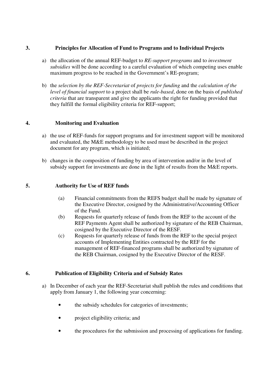#### **3. Principles for Allocation of Fund to Programs and to Individual Projects**

- a) the allocation of the annual REF-budget to *RE-support programs* and to *investment subsidies* will be done according to a careful evaluation of which competing uses enable maximum progress to be reached in the Government's RE-program;
- b) the *selection by the REF-Secretariat* of *projects for funding* and the *calculation of the level of financial support* to a project shall be *rule-based*, done on the basis of *published criteria* that are transparent and give the applicants the right for funding provided that they fulfill the formal eligibility criteria for REF-support;

#### **4. Monitoring and Evaluation**

- a) the use of REF-funds for support programs and for investment support will be monitored and evaluated, the M&E methodology to be used must be described in the project document for any program, which is initiated;
- b) changes in the composition of funding by area of intervention and/or in the level of subsidy support for investments are done in the light of results from the M&E reports.

#### **5. Authority for Use of REF funds**

- (a) Financial commitments from the REFS budget shall be made by signature of the Executive Director, cosigned by the Administrative/Accounting Officer of the Fund.
- (b) Requests for quarterly release of funds from the REF to the account of the REF Payments Agent shall be authorized by signature of the REB Chairman, cosigned by the Executive Director of the RESF.
- (c) Requests for quarterly release of funds from the REF to the special project accounts of Implementing Entities contracted by the REF for the management of REF-financed programs shall be authorized by signature of the REB Chairman, cosigned by the Executive Director of the RESF.

#### **6. Publication of Eligibility Criteria and of Subsidy Rates**

- a) In December of each year the REF-Secretariat shall publish the rules and conditions that apply from January 1, the following year concerning:
	- the subsidy schedules for categories of investments;
	- project eligibility criteria; and
	- the procedures for the submission and processing of applications for funding.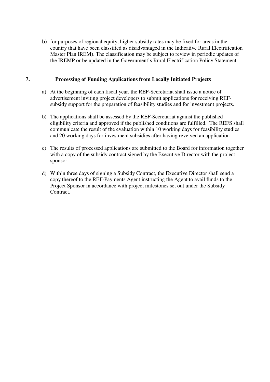**b)** for purposes of regional equity, higher subsidy rates may be fixed for areas in the country that have been classified as disadvantaged in the Indicative Rural Electrification Master Plan IREM). The classification may be subject to review in periodic updates of the IREMP or be updated in the Government's Rural Electrification Policy Statement.

#### **7. Processing of Funding Applications from Locally Initiated Projects**

- a) At the beginning of each fiscal year, the REF-Secretariat shall issue a notice of advertisement inviting project developers to submit applications for receiving REFsubsidy support for the preparation of feasibility studies and for investment projects.
- b) The applications shall be assessed by the REF-Secretariat against the published eligibility criteria and approved if the published conditions are fulfilled. The REFS shall communicate the result of the evaluation within 10 working days for feasibility studies and 20 working days for investment subsidies after having reveived an application
- c) The results of processed applications are submitted to the Board for information together with a copy of the subsidy contract signed by the Executive Director with the project sponsor.
- d) Within three days of signing a Subsidy Contract, the Executive Director shall send a copy thereof to the REF-Payments Agent instructing the Agent to avail funds to the Project Sponsor in accordance with project milestones set out under the Subsidy Contract.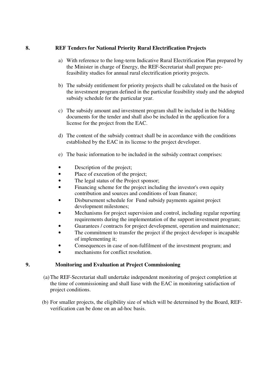#### **8. REF Tenders for National Priority Rural Electrification Projects**

- a) With reference to the long-term Indicative Rural Electrification Plan prepared by the Minister in charge of Energy, the REF-Secretariat shall prepare prefeasibility studies for annual rural electrification priority projects.
- b) The subsidy entitlement for priority projects shall be calculated on the basis of the investment program defined in the particular feasibility study and the adopted subsidy schedule for the particular year.
- c) The subsidy amount and investment program shall be included in the bidding documents for the tender and shall also be included in the application for a license for the project from the EAC.
- d) The content of the subsidy contract shall be in accordance with the conditions established by the EAC in its license to the project developer.
- e) The basic information to be included in the subsidy contract comprises:
- Description of the project;
- Place of execution of the project;
- The legal status of the Project sponsor;
- Financing scheme for the project including the investor's own equity contribution and sources and conditions of loan finance;
- Disbursement schedule for Fund subsidy payments against project development milestones;
- Mechanisms for project supervision and control, including regular reporting requirements during the implementation of the support investment program;
- Guarantees / contracts for project development, operation and maintenance;
- The commitment to transfer the project if the project developer is incapable of implementing it;
- Consequences in case of non-fulfilment of the investment program; and
- mechanisms for conflict resolution.

#### **9. Monitoring and Evaluation at Project Commissioning**

- (a) The REF-Secretariat shall undertake independent monitoring of project completion at the time of commissioning and shall liase with the EAC in monitoring satisfaction of project conditions.
- (b) For smaller projects, the eligibility size of which will be determined by the Board, REFverification can be done on an ad-hoc basis.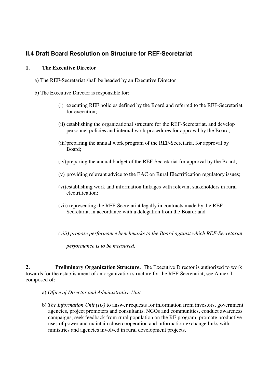### **II.4 Draft Board Resolution on Structure for REF-Secretariat**

#### **1. The Executive Director**

- a) The REF-Secretariat shall be headed by an Executive Director
- b) The Executive Director is responsible for:
	- (i) executing REF policies defined by the Board and referred to the REF-Secretariat for execution;
	- (ii) establishing the organizational structure for the REF-Secretariat, and develop personnel policies and internal work procedures for approval by the Board;
	- (iii)preparing the annual work program of the REF-Secretariat for approval by Board;
	- (iv) preparing the annual budget of the REF-Secretariat for approval by the Board;
	- (v) providing relevant advice to the EAC on Rural Electrification regulatory issues;
	- (vi) establishing work and information linkages with relevant stakeholders in rural electrification;
	- (vii) representing the REF-Secretariat legally in contracts made by the REF-Secretariat in accordance with a delegation from the Board; and
	- *(viii) propose performance benchmarks to the Board against which REF-Secretariat*

*performance is to be measured.* 

**2. Preliminary Organization Structure.** The Executive Director is authorized to work towards for the establishment of an organization structure for the REF-Secretariat, see Annex I, composed of:

- a) *Office of Director and Administrative Unit*
- b) *The Information Unit (IU)* to answer requests for information from investors, government agencies, project promoters and consultants, NGOs and communities, conduct awareness campaigns, seek feedback from rural population on the RE program; promote productive uses of power and maintain close cooperation and information-exchange links with ministries and agencies involved in rural development projects.